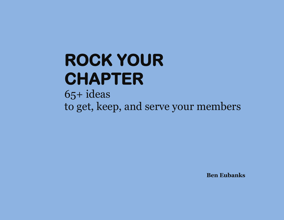# **ROCK YOUR CHAPTER**

65+ ideas to get, keep, and serve your members

**Ben Eubanks**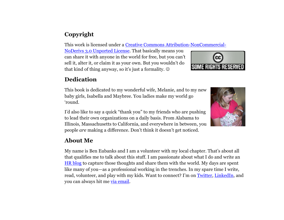# **Copyright**

This work is licensed under a [Creative Commons Attribution-NonCommercial-](file:///C:/Users/Eubanks/AppData/Roaming/Microsoft/Word/href=%22http:/creativecommons.org/licenses/by-nc-nd/3.0/)

[NoDerivs 3.0 Unported License.](file:///C:/Users/Eubanks/AppData/Roaming/Microsoft/Word/href=%22http:/creativecommons.org/licenses/by-nc-nd/3.0/) That basically means you can share it with anyone in the world for free, but you can't sell it, alter it, or claim it as your own. But you wouldn't do that kind of thing anyway, so it's just a formality.



# **Dedication**

This book is dedicated to my wonderful wife, Melanie, and to my new baby girls, Isabella and Maybree. You ladies make my world go ‗round.

I'd also like to say a quick "thank you" to my friends who are pushing to lead their own organizations on a daily basis. From Alabama to Illinois, Massachusetts to California, and everywhere in between, you people *are* making a difference. Don't think it doesn't get noticed.

### **About Me**

My name is Ben Eubanks and I am a volunteer with my local chapter. That's about all that qualifies me to talk about this stuff. I am passionate about what I do and write an [HR blog](http://upstarthr.com/) to capture those thoughts and share them with the world. My days are spent like many of you—as a professional working in the trenches. In my spare time I write, read, volunteer, and play with my kids. Want to connect? I'm on [Twitter,](http://twitter.com/beneubanks) [LinkedIn,](http://linkedin.com/in/beneubanks) and you can always hit me [via email.](mailto:ben@upstarthr.com?subject=Rock%20Your%20Chapter%20Feedback)

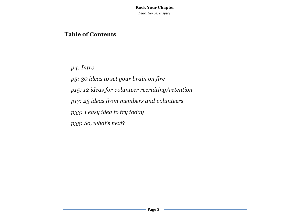# **Table of Contents**

*p4: Intro*

*p5: 30 ideas to set your brain on fire*

*p15: 12 ideas for volunteer recruiting/retention*

*p17: 23 ideas from members and volunteers*

*p33: 1 easy idea to try today*

*p35: So, what's next?*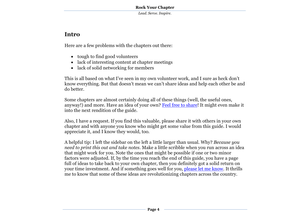# **Intro**

Here are a few problems with the chapters out there:

- tough to find good volunteers
- lack of interesting content at chapter meetings
- lack of solid networking for members

This is all based on what I've seen in my own volunteer work, and I sure as heck don't know everything. But that doesn't mean we can't share ideas and help each other be and do better.

Some chapters are almost certainly doing all of these things (well, the useful ones, anyway!) and more. Have an idea of your own? [Feel free to share!](mailto:ben@upstarthr.com) It might even make it into the next rendition of the guide.

Also, I have a request. If you find this valuable, please share it with others in your own chapter and with anyone you know who might get some value from this guide. I would appreciate it, and I know they would, too.

A helpful tip: I left the sidebar on the left a little larger than usual. Why? *Because you need to print this out and take notes*. Make a little scribble when you run across an idea that might work for you. Note the ones that might be possible if one or two minor factors were adjusted. If, by the time you reach the end of this guide, you have a page full of ideas to take back to your own chapter, then you definitely got a solid return on your time investment. And if something goes well for you, [please let me know.](mailto:ben@upstarthr.com) It thrills me to know that some of these ideas are revolutionizing chapters across the country.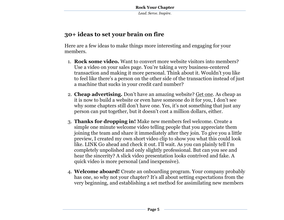# **30+ ideas to set your brain on fire**

Here are a few ideas to make things more interesting and engaging for your members.

- 1. **Rock some video.** Want to convert more website visitors into members? Use a video on your sales page. You're taking a very business-centered transaction and making it more personal. Think about it. Wouldn't you like to feel like there's a person on the other side of the transaction instead of just a machine that sucks in your credit card number?
- 2. **Cheap advertising.** Don't have an amazing website? [Get one.](http://logicwriter.org/) As cheap as it is now to build a website or even have someone do it for you, I don't see why some chapters still don't have one. Yes, it's not something that just any person can put together, but it doesn't cost a million dollars, either.
- 3. **Thanks for dropping in!** Make new members feel welcome. Create a simple one minute welcome video telling people that you appreciate them joining the team and share it immediately after they join. To give you a little preview, I created my own short video clip to show you what this could look like. LINK Go ahead and check it out. I'll wait. As you can plainly tell I'm completely unpolished and only slightly professional. But can you see and hear the sincerity? A slick video presentation looks contrived and fake. A quick video is more personal (and inexpensive).
- 4. **Welcome aboard!** Create an onboarding program. Your company probably has one, so why not your chapter? It's all about setting expectations from the very beginning, and establishing a set method for assimilating new members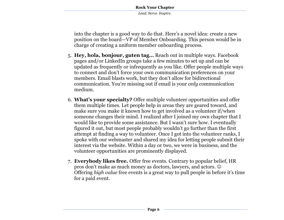into the chapter is a good way to do that. Here's a novel idea: create a new position on the board—VP of Member Onboarding. This person would be in charge of creating a uniform member onboarding process.

- 5. **Hey, hola, bonjour, guten tag…** Reach out in multiple ways. Facebook pages and/or LinkedIn groups take a few minutes to set up and can be updated as frequently or infrequently as you like. Offer people multiple ways to connect and don't force your own communication preferences on your members. Email blasts work, but they don't allow for bidirectional communication. You're missing out if email is your *only* communication medium.
- 6. **What's your specialty?** Offer multiple volunteer opportunities and offer them multiple times. Let people help in areas they are geared toward, and make sure you make it known how to get involved as a volunteer if/when someone changes their mind. I realized after I joined my own chapter that I would like to provide some assistance. But I wasn't sure how. I eventually figured it out, but most people probably wouldn't go further than the first attempt at finding a way to volunteer. Once I got into the volunteer ranks, I spoke with our webmaster and shared my idea for letting people submit their interest via the website. Within a day or two, we were in business, and the volunteer opportunities are prominently displayed.
- 7. **Everybody likes free.** Offer free events. Contrary to popular belief, HR pros don't make as much money as doctors, lawyers, and actors. Offering *high value* free events is a great way to pull people in before it's time for a paid event.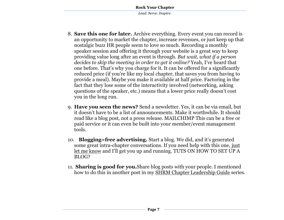- 8. **Save this one for later.** Archive everything. Every event you can record is an opportunity to market the chapter, increase revenues, or just keep up that nostalgic buzz HR people seem to love so much. Recording a monthly speaker session and offering it through your website is a great way to keep providing value long after an event is through. *But wait, what if a person decides to skip the meeting in order to get it online?* Yeah, I've heard that one before. That's why you charge for it. It can be offered for a significantly reduced price (if you're like my local chapter, that saves you from having to provide a meal). Maybe you make it available at half price. Factoring in the fact that they lose some of the interactivity involved (networking, asking questions of the speaker, etc.) means that a lower price really doesn't cost you in the long run.
- 9. **Have you seen the news?** Send a newsletter. Yes, it can be via email, but it doesn't have to be a list of announcements. Make it worthwhile. It should read like a blog post, not a press release. MAILCHIMP This can be a free or paid service or it can even be built into your member/event management tools.
- 10. **Blogging=free advertising.** Start a blog. We did, and it's generated some great intra-chapter conversations. If you need help with this one, [just](mailto:ben@upstarthr.com)  [let me know](mailto:ben@upstarthr.com) and I'll get you up and running. TUTS ON HOW TO SET UP A BLOG?
- 11. **Sharing is good for you.**Share blog posts with your people. I mentioned how to do this in another post in my [SHRM Chapter Leadership Guide](http://upstarthr.com/shrm-chapter-leadership-guide/) series.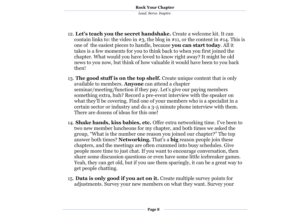- 12. **Let's teach you the secret handshake.** Create a welcome kit. It can contain links to: the video in  $\#3$ , the blog in  $\#11$ , or the content in  $\#14$ . This is one of the easiest pieces to handle, because **you can start today**. All it takes is a few moments for you to think back to when you first joined the chapter. What would you have loved to know right away? It might be old news to you now, but think of how valuable it would have been to you back then!
- 13. **The good stuff is on the top shelf.** Create unique content that is only available to members. **Anyone** can attend a chapter seminar/meeting/function if they pay. Let's give our paying members something extra, huh? Record a pre-event interview with the speaker on what they'll be covering. Find one of your members who is a specialist in a certain sector or industry and do a 3-5 minute phone interview with them. There are dozens of ideas for this one!
- 14. **Shake hands, kiss babies, etc.** Offer extra networking time. I've been to two new member luncheons for my chapter, and both times we asked the group, "What is the number one reason you joined our chapter?" The top answer both times? **Networking.** That's a **big** reason people join these chapters, and the meetings are often crammed into busy schedules. Give people more time to just chat. If you want to encourage conversation, then share some discussion questions or even have some little icebreaker games. Yeah, they can get old, but if you use them sparingly, it can be a great way to get people chatting.
- 15. **Data is only good if you act on it.** Create multiple survey points for adjustments. Survey your new members on what they want. Survey your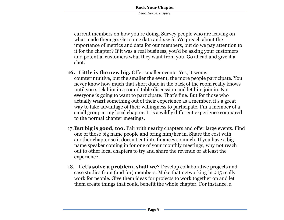*Lead. Serve. Inspire.*

current members on how you're doing. Survey people who are leaving on what made them go. Get some data and *use it*. We preach about the importance of metrics and data for our members, but do we pay attention to it for the chapter? If it was a real business, you'd be asking your customers and potential customers what they want from you. Go ahead and give it a shot.

- **16. Little is the new big.** Offer smaller events. Yes, it seems counterintuitive, but the smaller the event, the more people participate. You never know how much that short dude in the back of the room really knows until you stick him in a round table discussion and let him join in. Not everyone is going to want to participate. That's fine. But for those who actually **want** something out of their experience as a member, it's a great way to take advantage of their willingness to participate. I'm a member of a small group at my local chapter. It is a wildly different experience compared to the normal chapter meetings.
- 17.**But big is good, too.** Pair with nearby chapters and offer large events. Find one of those big name people and bring him/her in. Share the cost with another chapter so it doesn't cut into finances so much. If you have a big name speaker coming in for one of your monthly meetings, why not reach out to other local chapters to try and share the revenue or at least the experience.
- 18. **Let's solve a problem, shall we?** Develop collaborative projects and case studies from (and for) members. Make that networking in #15 really work for people. Give them ideas for projects to work together on and let them create things that could benefit the whole chapter. For instance, a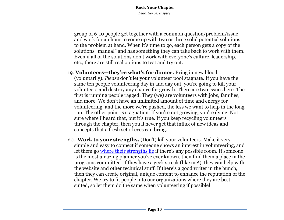*Lead. Serve. Inspire.*

group of 6-10 people get together with a common question/problem/issue and work for an hour to come up with two or three solid potential solutions to the problem at hand. When it's time to go, each person gets a copy of the solutions "manual" and has something they can take back to work with them. Even if all of the solutions don't work with everyone's culture, leadership, etc., there are still real options to test and try out.

- 19. **Volunteers—they're what's for dinner.** Bring in new blood (voluntarily). *Please* don't let your volunteer pool stagnate. If you have the same ten people volunteering day in and day out, you're going to kill your volunteers and destroy any chance for growth. There are two issues here. The first is running people ragged. They (we) are volunteers with jobs, families, and more. We don't have an unlimited amount of time and energy for volunteering, and the more we're pushed, the less we want to help in the long run. The other point is stagnation. If you're not growing, you're dying. Not sure where I heard that, but it's true. If you keep recycling volunteers through the chapter, then you'll never get that influx of new ideas and concepts that a fresh set of eyes can bring.
- 20. **Work to your strengths.** (Don't) kill your volunteers. Make it very simple and easy to connect if someone shows an interest in volunteering, and let them go [where their strengths lie](http://www.rockethr.com/do-more-of-what-you-do-well/) if there's any possible room. If someone is the most amazing planner you've ever known, then find them a place in the programs committee. If they have a geek streak (like me!), they can help with the website and other technical stuff. If there's a good writer in the bunch, then they can create original, unique content to enhance the reputation of the chapter. We try to fit people into our organizations where they are best suited, so let them do the same when volunteering if possible!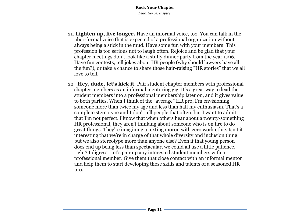- 21. **Lighten up, live longer.** Have an informal voice, too. You can talk in the uber-formal voice that is expected of a professional organization without always being a stick in the mud. Have some fun with your members! This profession is too serious not to laugh often. Rejoice and be glad that your chapter meetings don't look like a stuffy dinner party from the year 1796. Have fun contests, tell jokes about HR people (why should lawyers have all the fun?), or take a chance to share those hair-raising "HR stories" that we all love to tell.
- 22. **Hey, dude, let's kick it.** Pair student chapter members with professional chapter members as an informal mentoring gig. It's a great way to lead the student members into a professional membership later on, and it gives value to both parties. When I think of the "average" HR pro, I'm envisioning someone more than twice my age and less than half my enthusiasm. That's a complete stereotype and I don't tell people that often, but I want to admit that I'm not perfect. I know that when others hear about a twenty-something HR professional, they aren't thinking about someone who is on fire to do great things. They're imagining a texting moron with zero work ethic. Isn't it interesting that we're in charge of that whole diversity and inclusion thing, but we also stereotype more than anyone else? Even if that young person does end up being less than spectacular, we could all use a little patience, right? I digress. Let's pair up any interested student members with a professional member. Give them that close contact with an informal mentor and help them to start developing those skills and talents of a seasoned HR pro.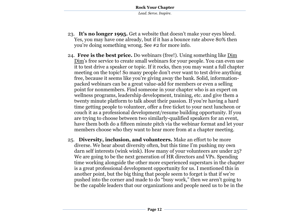- 23. **It's no longer 1995.** Get a website that doesn't make your eyes bleed. Yes, you may have one already, but if it has a bounce rate above 80% then you're doing something wrong. See #2 for more info.
- 24. **Free is the best price.** Do webinars (free!). Using something like [Dim](http://upstarthr.com/dimdim)  [Dim](http://upstarthr.com/dimdim)'s free service to create small webinars for your people. You can even use it to test drive a speaker or topic. If it rocks, then you may want a full chapter meeting on the topic! So many people don't ever want to test drive anything free, because it seems like you're giving away the bank. Solid, informationpacked webinars can be a great value-add for members or even a selling point for nonmembers. Find someone in your chapter who is an expert on wellness programs, leadership development, training, etc. and give them a twenty minute platform to talk about their passion. If you're having a hard time getting people to volunteer, offer a free ticket to your next luncheon or couch it as a professional development/resume building opportunity. If you are trying to choose between two similarly-qualified speakers for an event, have them both do a fifteen minute pitch via the webinar format and let your members choose who they want to hear more from at a chapter meeting.
- 25. **Diversity, inclusion, and volunteers.** Make an effort to be more diverse. We hear about diversity often, but this time I'm pushing my own darn self interests (wink wink). How many of your volunteers are under 25? We are going to be the next generation of HR directors and VPs. Spending time working alongside the other more experienced superstars in the chapter is a great professional development opportunity for us. I mentioned this in another point, but the big thing that people seem to forget is that if we're pushed into the corner and made to do "busy work," then we aren't going to be the capable leaders that our organizations and people need us to be in the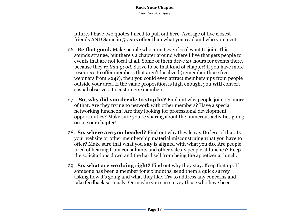future. I have two quotes I need to pull out here. Average of five closest friends AND Same in 5 years other than what you read and who you meet.

- 26. **Be that good.** Make people who aren't even local want to join. This sounds strange, but there's a chapter around where I live that gets people to events that are not local at all. Some of them drive 2+ hours for events there, because they're *that good*. Strive to be that kind of chapter! If you have more resources to offer members that aren't localized (remember those free webinars from #24?), then you could even attract memberships from people outside your area. If the value proposition is high enough, you **will** convert casual observers to customers/members.
- 27. **So, why did you decide to stop by?** Find out why people join. Do more of that. Are they trying to network with other members? Have a special networking luncheon! Are they looking for professional development opportunities? Make sure you're sharing about the numerous activities going on in your chapter!
- 28. **So, where are you headed?** Find out why they leave. Do less of that. Is your website or other membership material misconstruing what you have to offer? Make sure that what you **say** is aligned with what you **do**. Are people tired of hearing from consultants and other sales-y people at lunches? Keep the solicitations down and the hard sell from being the appetizer at lunch.
- 29. **So, what are we doing right?** Find out why they stay. Keep that up. If someone has been a member for six months, send them a quick survey asking how it's going and what they like. Try to address any concerns and take feedback seriously. Or maybe you can survey those who have been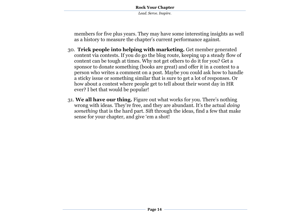members for five plus years. They may have some interesting insights as well as a history to measure the chapter's current performance against.

- 30. **Trick people into helping with marketing.** Get member generated content via contests. If you do go the blog route, keeping up a steady flow of content can be tough at times. Why not get others to do it for you? Get a sponsor to donate something (books are great) and offer it in a contest to a person who writes a comment on a post. Maybe you could ask how to handle a sticky issue or something similar that is sure to get a lot of responses. Or how about a contest where people get to tell about their worst day in HR ever? I bet that would be popular!
- 31. **We all have our thing.** Figure out what works for you. There's nothing wrong with ideas. They're free, and they are abundant. It's the actual *doing something* that is the hard part. Sift through the ideas, find a few that make sense for your chapter, and give 'em a shot!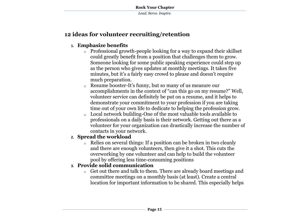# **12 ideas for volunteer recruiting/retention**

### **1. Emphasize benefits**

- o Professional growth-people looking for a way to expand their skillset could greatly benefit from a position that challenges them to grow. Someone looking for some public speaking experience could step up as the person who gives updates at monthly meetings. It takes five minutes, but it's a fairly easy crowd to please and doesn't require much preparation.
- o Resume booster-It's funny, but so many of us measure our accomplishments in the context of "can this go on my resume?" Well, volunteer service can definitely be put on a resume, and it helps to demonstrate your commitment to your profession if you are taking time out of your own life to dedicate to helping the profession grow.
- Local network building-One of the most valuable tools available to professionals on a daily basis is their network. Getting out there as a volunteer for your organization can drastically increase the number of contacts in your network.

### **2. Spread the workload**

o Relies on several things: If a position can be broken in two cleanly and there are enough volunteers, then give it a shot. This cuts the overworking by one volunteer and can help to build the volunteer pool by offering less time-consuming positions

#### **3. Provide solid communication**

o Get out there and talk to them. There are already board meetings and committee meetings on a monthly basis (at least). Create a central location for important information to be shared. This especially helps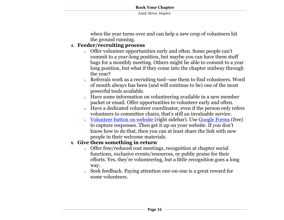when the year turns over and can help a new crop of volunteers hit the ground running.

### **4. Feeder/recruiting process**

- o Offer volunteer opportunities early and often. Some people can't commit to a year-long position, but maybe you can have them stuff bags for a monthly meeting. Others might be able to commit to a year long position, but what if they come into the chapter midway through the year?
- o Referrals work as a recruiting tool--use them to find volunteers. Word of mouth always has been (and will continue to be) one of the most powerful tools available.
- Have some information on volunteering available in a new member packet or email. Offer opportunities to volunteer early and often.
- o Have a dedicated volunteer coordinator, even if the person only refers volunteers to committee chairs, that's still an invaluable service.
- [Volunteer button on website](http://www.nashrm.org/) (right sidebar). Use [Google Forms](http://www.youtube.com/watch?v=9VBGSaB3URs) (free) to capture responses. Then get it up on your website. If you don't know how to do that, then you can at least share the link with new people in their welcome materials.

#### **5. Give them something in return**

- o Offer free/reduced cost meetings, recognition at chapter social functions, exclusive events/resources, or public praise for their efforts. Yes, they're volunteering, but a little recognition goes a long way.
- o Seek feedback. Paying attention one-on-one is a great reward for some volunteers.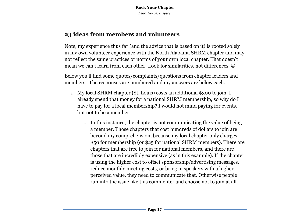# **23 ideas from members and volunteers**

Note, my experience thus far (and the advice that is based on it) is rooted solely in my own volunteer experience with the North Alabama SHRM chapter and may not reflect the same practices or norms of your own local chapter. That doesn't mean we can't learn from each other! Look for similarities, not differences.

Below you'll find some quotes/complaints/questions from chapter leaders and members. The responses are numbered and my answers are below each.

- 1. My local SHRM chapter (St. Louis) costs an additional \$300 to join. I already spend that money for a national SHRM membership, so why do I have to pay for a local membership? I would not mind paying for events, but not to be a member.
	- o In this instance, the chapter is not communicating the value of being a member. Those chapters that cost hundreds of dollars to join are beyond my comprehension, because my local chapter only charges \$50 for membership (or \$25 for national SHRM members). There are chapters that are free to join for national members, and there are those that are incredibly expensive (as in this example). If the chapter is using the higher cost to offset sponsorship/advertising messages, reduce monthly meeting costs, or bring in speakers with a higher perceived value, they need to communicate that. Otherwise people run into the issue like this commenter and choose not to join at all.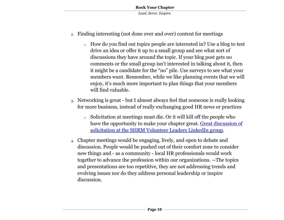- 2. Finding interesting (not done over and over) content for meetings
	- o How do you find out topics people are interested in? Use a blog to test drive an idea or offer it up to a small group and see what sort of discussions they have around the topic. If your blog post gets no comments or the small group isn't interested in talking about it, then it might be a candidate for the "no" pile. Use surveys to see what your members want. Remember, while we like planning events that we will enjoy, it's much more important to plan things that your members will find valuable.
- 3. Networking is great but I almost always feel that someone is really looking for more business, instead of really exchanging good HR news or practices
	- o Solicitation at meetings must die. Or it will kill off the people who have the opportunity to make your chapter great. Great discussion of [solicitation at the SHRM Volunteer Leaders LinkedIn group.](http://www.linkedin.com/groupItem?view=&gid=3551421&type=member&item=31919828&qid=bfed90a2-e2ed-44a6-b56d-9621b0e9a08a&goback=%2Egmp_3551421)
- 4. Chapter meetings would be engaging, lively, and open to debate and discussion. People would be pushed out of their comfort zone to consider new things and - as a community - local HR professionals would work together to advance the profession within our organizations. --The topics and presentations are too repetitive, they are not addressing trends and evolving issues nor do they address personal leadership or inspire discussion.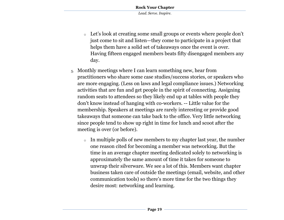- o Let's look at creating some small groups or events where people don't just come to sit and listen—they come to participate in a project that helps them have a solid set of takeaways once the event is over. Having fifteen engaged members beats fifty disengaged members any day.
- 5. Monthly meetings where I can learn something new, hear from practitioners who share some case studies/success stories, or speakers who are more engaging. (Less on laws and legal compliance issues.) Networking activities that are fun and get people in the spirit of connecting. Assigning random seats to attendees so they likely end up at tables with people they don't know instead of hanging with co-workers. -- Little value for the membership. Speakers at meetings are rarely interesting or provide good takeaways that someone can take back to the office. Very little networking since people tend to show up right in time for lunch and scoot after the meeting is over (or before).
	- o In multiple polls of new members to my chapter last year, the number one reason cited for becoming a member was networking. But the time in an average chapter meeting dedicated solely to networking is approximately the same amount of time it takes for someone to unwrap their silverware. We see a lot of this. Members want chapter business taken care of outside the meetings (email, website, and other communication tools) so there's more time for the two things they desire most: networking and learning.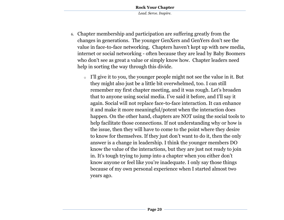- 6. Chapter membership and participation are suffering greatly from the changes in generations. The younger GenXers and GenYers don't see the value in face-to-face networking. Chapters haven't kept up with new media, internet or social networking - often because they are lead by Baby Boomers who don't see as great a value or simply know how. Chapter leaders need help in sorting the way through this divide.
	- o I'll give it to you, the younger people might not see the value in it. But they might also just be a little bit overwhelmed, too. I can still remember my first chapter meeting, and it was rough. Let's broaden that to anyone using social media. I've said it before, and I'll say it again. Social will not replace face-to-face interaction. It can enhance it and make it more meaningful/potent when the interaction does happen. On the other hand, chapters are NOT using the social tools to help facilitate those connections. If not understanding why or how is the issue, then they will have to come to the point where they desire to know for themselves. If they just don't want to do it, then the only answer is a change in leadership. I think the younger members DO know the value of the interactions, but they are just not ready to join in. It's tough trying to jump into a chapter when you either don't know anyone or feel like you're inadequate. I only say those things because of my own personal experience when I started almost two years ago.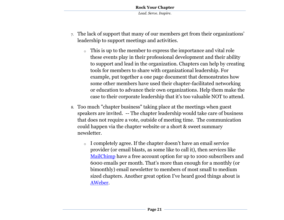- 7. The lack of support that many of our members get from their organizations' leadership to support meetings and activities.
	- o This is up to the member to express the importance and vital role these events play in their professional development and their ability to support and lead in the organization. Chapters can help by creating tools for members to share with organizational leadership. For example, put together a one page document that demonstrates how some other members have used their chapter-facilitated networking or education to advance their own organizations. Help them make the case to their corporate leadership that it's too valuable NOT to attend.
- 8. Too much "chapter business" taking place at the meetings when guest speakers are invited. -- The chapter leadership would take care of business that does not require a vote, outside of meeting time. The communication could happen via the chapter website or a short & sweet summary newsletter.
	- o I completely agree. If the chapter doesn't have an email service provider (or email blasts, as some like to call it), then services like [MailChimp](http://www.mailchimp.com/signup/monkeyrewards/?aid=b3b4f73ffa67a5249052cf46f) have a free account option for up to 1000 subscribers and 6000 emails per month. That's more than enough for a monthly (or bimonthly) email newsletter to members of most small to medium sized chapters. Another great option I've heard good things about is [AWeber.](http://aweber.com/?334819)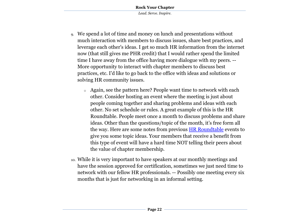- 9. We spend a lot of time and money on lunch and presentations without much interaction with members to discuss issues, share best practices, and leverage each other's ideas. I get so much HR information from the internet now (that still gives me PHR credit) that I would rather spend the limited time I have away from the office having more dialogue with my peers. -- More opportunity to interact with chapter members to discuss best practices, etc. I'd like to go back to the office with ideas and solutions or solving HR community issues.
	- o Again, see the pattern here? People want time to network with each other. Consider hosting an event where the meeting is just about people coming together and sharing problems and ideas with each other. No set schedule or rules. A great example of this is the HR Roundtable. People meet once a month to discuss problems and share ideas. Other than the questions/topic of the month, it's free form all the way. Here are some notes from previous [HR Roundtable](http://upstarthr.com/hr-roundtable-discussions/) events to give you some topic ideas. Your members that receive a benefit from this type of event will have a hard time NOT telling their peers about the value of chapter membership.
- 10. While it is very important to have speakers at our monthly meetings and have the session approved for certification, sometimes we just need time to network with our fellow HR professionals. -- Possibly one meeting every six months that is just for networking in an informal setting.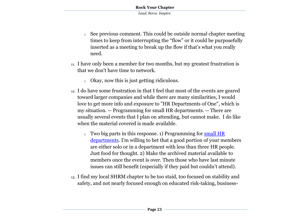- o See previous comment. This could be outside normal chapter meeting times to keep from interrupting the "flow" or it could be purposefully inserted as a meeting to break up the flow if that's what you really need.
- 11. I have only been a member for two months, but my greatest frustration is that we don't have time to network.
	- o Okay, now this is just getting ridiculous.
- 12. I do have some frustration in that I feel that most of the events are geared toward larger companies and while there are many similarities, I would love to get more info and exposure to "HR Departments of One", which is my situation. -- Programming for small HR departments. -- There are usually several events that I plan on attending, but cannot make. I do like when the material covered is made available.
	- $\circ$  Two big parts in this response. 1) Programming for small HR [departments](http://upstarthr.com/how-to-run-a-one-person-hr-department-hrm-conference/). I'm willing to bet that a good portion of your members are either solo or in a department with less than three HR people. Just food for thought. 2) Make the archived material available to members once the event is over. Then those who have last minute issues can still benefit (especially if they paid but couldn't attend).
- 13. I find my local SHRM chapter to be too staid, too focused on stability and safety, and not nearly focused enough on educated risk-taking, business-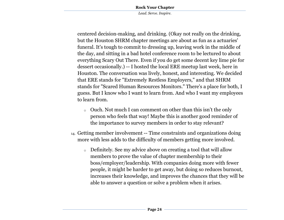*Lead. Serve. Inspire.*

centered decision-making, and drinking. (Okay not really on the drinking, but the Houston SHRM chapter meetings are about as fun as a actuaries' funeral. It's tough to commit to dressing up, leaving work in the middle of the day, and sitting in a bad hotel conference room to be lectured to about everything Scary Out There. Even if you do get some decent key lime pie for dessert occasionally.) -- I hosted the local ERE meetup last week, here in Houston. The conversation was lively, honest, and interesting. We decided that ERE stands for "Extremely Restless Employers," and that SHRM stands for "Scared Human Resources Monitors." There's a place for both, I guess. But I know who I want to learn from. And who I want my employees to learn from.

- o Ouch. Not much I can comment on other than this isn't the only person who feels that way! Maybe this is another good reminder of the importance to survey members in order to stay relevant?
- 14. Getting member involvement -- Time constraints and organizations doing more with less adds to the difficulty of members getting more involved.
	- o Definitely. See my advice above on creating a tool that will allow members to prove the value of chapter membership to their boss/employer/leadership. With companies doing more with fewer people, it might be harder to get away, but doing so reduces burnout, increases their knowledge, and improves the chances that they will be able to answer a question or solve a problem when it arises.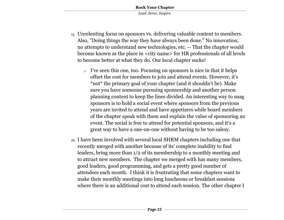- 15. Unrelenting focus on sponsors vs. delivering valuable content to members. Also, "Doing things the way they have always been done." No innovation, no attempts to understand new technologies, etc. -- That the chapter would become known as the place in <city name> for HR professionals of all levels to become better at what they do. Our local chapter sucks!
	- o I've seen this one, too. Focusing on sponsors is nice in that it helps offset the cost for members to join and attend events. However, it's \*not\* the primary goal of your chapter (and it shouldn't be). Make sure you have someone pursuing sponsorship and another person planning content to keep the lines divided. An interesting way to snag sponsors is to hold a social event where sponsors from the previous years are invited to attend and have appetizers while board members of the chapter speak with them and explain the value of sponsoring an event. The social is free to attend for potential sponsors, and it's a great way to have a one-on-one without having to be too salesy.
- 16. I have been involved with several local SHRM chapters including one that recently merged with another because of its' complete inability to find leaders, bring more than 1/2 of its membership to a monthly meeting and to attract new members. The chapter we merged with has many members, good leaders, good programming, and gets a pretty good number of attendees each month. I think it is frustrating that some chapters want to make their monthly meetings into long luncheons or breakfast sessions where there is an additional cost to attend each session. The other chapter I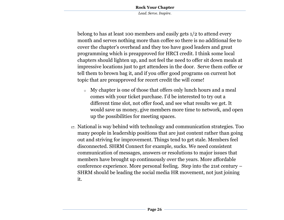belong to has at least 100 members and easily gets 1/2 to attend every month and serves nothing more than coffee so there is no additional fee to cover the chapter's overhead and they too have good leaders and great programming which is preapproved for HRCI credit. I think some local chapters should lighten up, and not feel the need to offer sit down meals at impressive locations just to get attendees in the door. Serve them coffee or tell them to brown bag it, and if you offer good programs on current hot topic that are preapproved for recert credit the will come!

- o My chapter is one of those that offers only lunch hours and a meal comes with your ticket purchase. I'd be interested to try out a different time slot, not offer food, and see what results we get. It would save us money, give members more time to network, and open up the possibilities for meeting spaces.
- 17. National is way behind with technology and communication strategies. Too many people in leadership positions that are just content rather than going out and striving for improvement. Things tend to get stale. Members feel disconnected. SHRM Connect for example, sucks. We need consistent communication of messages, answers or resolutions to major issues that members have brought up continuously over the years. More affordable conference experience. More personal feeling. Step into the 21st century – SHRM should be leading the social media HR movement, not just joining it.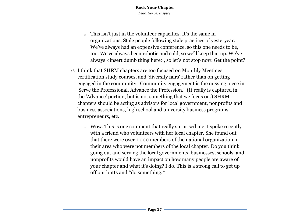- o This isn't just in the volunteer capacities. It's the same in organizations. Stale people following stale practices of yesteryear. We've always had an expensive conference, so this one needs to be, too. We've always been robotic and cold, so we'll keep that up. We've always <insert dumb thing here>, so let's not stop now. Get the point?
- 18. I think that SHRM chapters are too focused on Monthly Meetings, certification study courses, and 'diversity fairs' rather than on getting engaged in the community. Community engagement is the missing piece in 'Serve the Professional, Advance the Profession.' (It really is captured in the 'Advance' portion, but is not something that we focus on.) SHRM chapters should be acting as advisors for local government, nonprofits and business associations, high school and university business programs, entrepreneurs, etc.
	- o Wow. This is one comment that really surprised me. I spoke recently with a friend who volunteers with her local chapter. She found out that there were over 1,000 members of the national organization in their area who were not members of the local chapter. Do you think going out and serving the local governments, businesses, schools, and nonprofits would have an impact on how many people are aware of your chapter and what it's doing? I do. This is a strong call to get up off our butts and \*do something.\*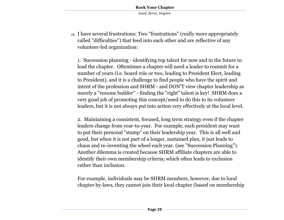19. I have several frustrations: Two "frustrations" (really more appropriately called "difficulties") that feed into each other and are reflective of any volunteer-led organization:

1. Succession planning - identifying top talent for now and in the future to lead the chapter. Oftentimes a chapter will need a leader to commit for a number of years (i.e. board role or two, leading to President Elect, leading to President), and it is a challenge to find people who have the spirit and intent of the profession and SHRM - and DON'T view chapter leadership as merely a "resume builder" - finding the "right" talent is key! SHRM does a very good job of promoting this concept/need to do this to its volunteer leaders, but it is not always put into action very effectively at the local level.

2. Maintaining a consistent, focused, long term strategy even if the chapter leaders change from year-to-year. For example, each president may want to put their personal "stamp" on their leadership year. This is all well and good, but when it is not part of a longer, sustained plan, it just leads to chaos and re-inventing the wheel each year. (see "Succession Planning"). Another dilemma is created because SHRM affiliate chapters are able to identify their own membership criteria; which often leads to exclusion rather than inclusion.

For example, individuals may be SHRM members, however, due to local chapter by-laws, they cannot join their local chapter (based on membership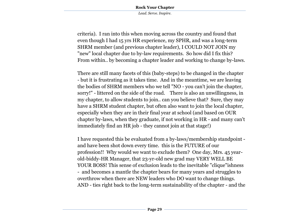criteria). I ran into this when moving across the country and found that even though I had 15 yrs HR experience, my SPHR, and was a long-term SHRM member (and previous chapter leader), I COULD NOT JOIN my "new" local chapter due to by-law requirements. So how did I fix this? From within.. by becoming a chapter leader and working to change by-laws.

There are still many facets of this (baby-steps) to be changed in the chapter - but it is frustrating as it takes time. And in the meantime, we are leaving the bodies of SHRM members who we tell "NO - you can't join the chapter, sorry!" - littered on the side of the road. There is also an unwillingness, in my chapter, to allow students to join.. can you believe that? Sure, they may have a SHRM student chapter, but often also want to join the local chapter, especially when they are in their final year at school (and based on OUR chapter by-laws, when they graduate, if not working in HR - and many can't immediately find an HR job - they cannot join at that stage!)

I have requested this be evaluated from a by-laws/membership standpoint and have been shot down every time. this is the FUTURE of our profession!! Why would we want to exclude them? One day, Mrs. 45 yearold-biddy-HR Manager, that 23-yr-old new grad may VERY WELL BE YOUR BOSS! This sense of exclusion leads to the inevitable "clique"ishness - and becomes a mantle the chapter bears for many years and struggles to overthrow when there are NEW leaders who DO want to change things. AND - ties right back to the long-term sustainability of the chapter - and the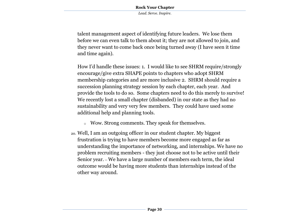talent management aspect of identifying future leaders. We lose them before we can even talk to them about it; they are not allowed to join, and they never want to come back once being turned away (I have seen it time and time again).

How I'd handle these issues: 1. I would like to see SHRM require/strongly encourage/give extra SHAPE points to chapters who adopt SHRM membership categories and are more inclusive 2. SHRM should require a succession planning strategy session by each chapter, each year. And provide the tools to do so. Some chapters need to do this merely to survive! We recently lost a small chapter (disbanded) in our state as they had no sustainability and very very few members. They could have used some additional help and planning tools.

- o Wow. Strong comments. They speak for themselves.
- 20. Well, I am an outgoing officer in our student chapter. My biggest frustration is trying to have members become more engaged as far as understanding the importance of networking, and internships. We have no problem recruiting members - they just choose not to be active until their Senior year. -- We have a large number of members each term, the ideal outcome would be having more students than internships instead of the other way around.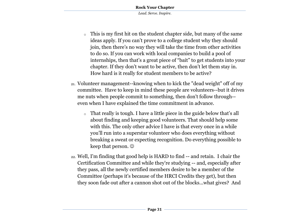- o This is my first hit on the student chapter side, but many of the same ideas apply. If you can't prove to a college student why they should join, then there's no way they will take the time from other activities to do so. If you can work with local companies to build a pool of internships, then that's a great piece of "bait" to get students into your chapter. If they don't want to be active, then don't let them stay in. How hard is it really for student members to be active?
- 21. Volunteer management--knowing when to kick the "dead weight" off of my committee. Have to keep in mind these people are volunteers--but it drives me nuts when people commit to something, then don't follow through- even when I have explained the time commitment in advance.
	- o That really is tough. I have a little piece in the guide below that's all about finding and keeping good volunteers. That should help some with this. The only other advice I have is that every once in a while you'll run into a superstar volunteer who does everything without breaking a sweat or expecting recognition. Do everything possible to keep that person.  $\odot$
- 22. Well, I'm finding that good help is HARD to find -- and retain. I chair the Certification Committee and while they're studying -- and, especially after they pass, all the newly certified members desire to be a member of the Committee (perhaps it's because of the HRCI Credits they get), but then they soon fade out after a cannon shot out of the blocks...what gives? And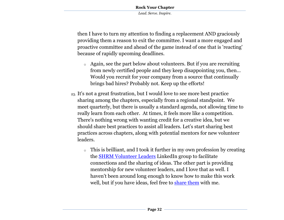then I have to turn my attention to finding a replacement AND graciously providing them a reason to exit the committee. I want a more engaged and proactive committee and ahead of the game instead of one that is 'reacting' because of rapidly upcoming deadlines.

- o Again, see the part below about volunteers. But if you are recruiting from newly certified people and they keep disappointing you, then… Would you recruit for your company from a source that continually brings bad hires? Probably not. Keep up the efforts!
- 23. It's not a great frustration, but I would love to see more best practice sharing among the chapters, especially from a regional standpoint. We meet quarterly, but there is usually a standard agenda, not allowing time to really learn from each other. At times, it feels more like a competition. There's nothing wrong with wanting credit for a creative idea, but we should share best practices to assist all leaders. Let's start sharing best practices across chapters, along with potential mentors for new volunteer leaders.
	- o This is brilliant, and I took it further in my own profession by creating the [SHRM Volunteer Leaders](http://upstarthr.com/linkedin-group-for-shrm-volunteer-leaders/) LinkedIn group to facilitate connections and the sharing of ideas. The other part is providing mentorship for new volunteer leaders, and I love that as well. I haven't been around long enough to know how to make this work well, but if you have ideas, feel free to [share them](mailto:ben@upstarthr.com?subject=Rock%20Your%20Chapter%20Feedback) with me.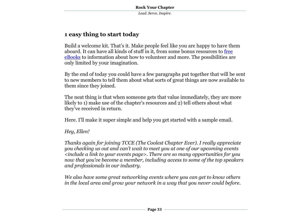# **1 easy thing to start today**

Build a welcome kit. That's it. Make people feel like you are happy to have them aboard. It can have all kinds of stuff in it, from some bonus resources to [free](http://upstarthr.com/freebies)  [eBooks](http://upstarthr.com/freebies) to information about how to volunteer and more. The possibilities are only limited by your imagination.

By the end of today you could have a few paragraphs put together that will be sent to new members to tell them about what sorts of great things are now available to them since they joined.

The neat thing is that when someone gets that value immediately, they are more likely to 1) make use of the chapter's resources and 2) tell others about what they've received in return.

Here. I'll make it super simple and help you get started with a sample email.

#### *Hey, Ellen!*

*Thanks again for joining TCCE (The Coolest Chapter Ever). I really appreciate you checking us out and can't wait to meet you at one of our upcoming events <include a link to your events page>. There are so many opportunities for you now that you've become a member, including access to some of the top speakers and professionals in our industry.* 

*We also have some great networking events where you can get to know others in the local area and grow your network in a way that you never could before.*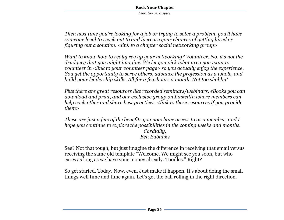*Then next time you're looking for a job or trying to solve a problem, you'll have someone local to reach out to and increase your chances of getting hired or figuring out a solution. <link to a chapter social networking group>*

*Want to know how to really rev up your networking? Volunteer. No, it's not the drudgery that you might imagine. We let you pick what area you want to volunteer in <link to your volunteer page> so you actually enjoy the experience. You get the opportunity to serve others, advance the profession as a whole, and build your leadership skills. All for a few hours a month. Not too shabby!*

*Plus there are great resources like recorded seminars/webinars, eBooks you can download and print, and our exclusive group on LinkedIn where members can help each other and share best practices. <link to these resources if you provide them>*

*These are just a few of the benefits you now have access to as a member, and I hope you continue to explore the possibilities in the coming weeks and months. Cordially, Ben Eubanks*

See? Not that tough, but just imagine the difference in receiving that email versus receiving the same old template "Welcome. We might see you soon, but who cares as long as we have your money already. Toodles." Right?

So get started. Today. Now, even. Just make it happen. It's about doing the small things well time and time again. Let's get the ball rolling in the right direction.